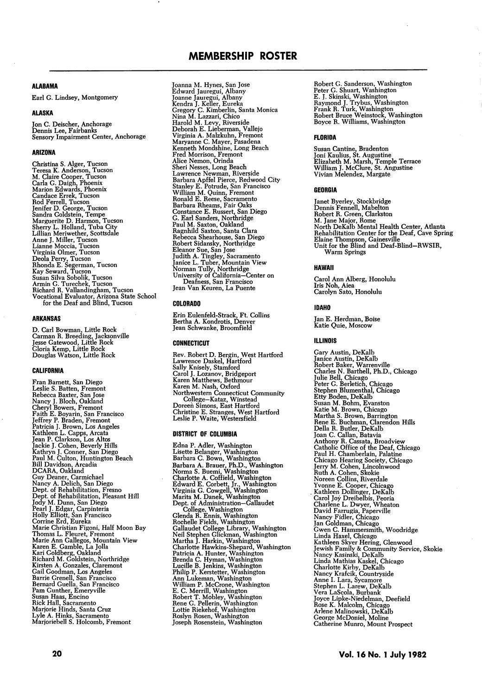# **ALABAMA**

Earl G. Lindsey, Montgomery

### ALASKA

Jon C. Deischer, Anchorage Dennis Lee, Fairbanks Sensory Impairment Center, Anchorage

# ARIZONA

Christina S. Alger, Tucson<br>Treesa K. Anderson, Tucson<br>M. Claire Cooper, Tucson<br>M. Claire Cooper, Tucson<br>Marion Edwards, Phoenix<br>Narion Edwards, Phoenix<br>Candace Errek, Tucson<br>Jendier D. Harmon, Tucson<br>Marguerite D. Harmon,

# ARKANSAS

D. Carl Bowman, Little Rock Carman R. Breeding, Jacksonville Jesse Catewood, Little Rock Gloria Kemp, Little Rock Douglas Watson, Little Rock

### CALIFORNIA

Fran Barnett, San Diego<br>Leslie S. Batten, Fremont<br>Rebecca Baxten, San Jose<br>Nancy J. Bloch, Oakland<br>Cheryl Bowers, Fremont<br>Faith E. Boyarin, San Francisco<br>Jeffrey P. Braden, Fremont<br>Ratricia J. Brown, Los Angeles<br>Kathleen L Guy Deaner, Carmichael<br>Nancy A. Delich, San Diego<br>Nept. of Rehabilitation, Fresno<br>Dept. of Rehabilitation, Pleasant Hill<br>Jody M. Dunn, San Diego<br>Pearl J. Edgar, Carpinteria<br>Corrine Erd, Eureka<br>Corrine Erd, Eureka<br>Marie Cor Joanna M. Hynes, San Jose<br>Edward Jauregui, Albany<br>Joanne Jauregui, Albany<br>Joanne Jauregui, Albany<br>Kendra J. Keller, Eureka<br>Gregory C. Kimberlin, Santa Monica<br>Nina M. Lazzari, Chico<br>Deborah E. Lieberman, Vallejo<br>Virginia A.

### COLORADO

Erin Eulenfeld-Strack. Ft. Collins Bertha A. Kondrotis, Denver Jean Schwanke, Broomfield

# CONNECTICUT

Rev. Robert D. Bergin, West Hartford<br>Lawrence Daskel, Hartford<br>Sally Knisely, Stamford<br>Carol J. Lozanov, Bridgeport<br>Karen Matthews, Bethmour<br>Karen M. Nash, Oxford<br>Northwestern Connecticut Community<br>Dollege-Kataz, Winstead<br> Christine E. Stranges, West Hartford Leslie P. Waite, Westersfield

# DISTRICT OF COLUMBIA

Edna P. Adler, Washington Lisette Belanger, Washington<br>Barbara C. Bown, Washington Barbara C. Bown, Washington<br>Barbara A. Brauer, Ph.D., Washington<br>Norma S. Buemi, Washington<br>Norma S. Buemi, Washington<br>Charlotte A. Coffield, Washington<br>Edward E. Corbett, Jr., Washington<br>Virginia G. Cowgell, Washington<br>Na Robert C. Shuart, Washington<br>
Peter C. Shuart, Washington<br>
E. J. Skinski, Washington<br>
Raymond J. Trybus, Washington<br>
Frank R. Turk, Washington<br>
Robert Bruce Weinstock, Washington<br>
Boyce R. Williams, Washington

# FLORIDA

Susan Cantine, Bradenton Joni Kaulius, St. Augustine Elizabeth M. Marsh, Temple Terrace William J. McClure, St. Angustine Vivian Melendez, Margate

### GEORGIA

Janet Byerley, Stockbrudge<br>Dennis Fennell, Mabelton<br>Robert R. Green, Clarkston<br>M. Jane Major, Rome<br>North DeKalb Mental Health Center, Atlanta<br>Rehabilitation Center for the Deaf, Cave Spring<br>Elaine Thompson, Gainesville<br>Uni Warm Springs

# HAWAII

Carol Ann Alberg, Honolulu Iris Noh, Aiea Carolyn Sato, Honolulu

### IDAHO

Jan E. Herdman, Boise Katie Quie, Moscow

# ILLINOIS

Gary Austin, DeKalb<br>Jance Austin, DeKalb<br>Robert Baker, Warrenville<br>Charles N. Barthell, Ph.D., Chicago<br>Julie Bell, Chicago<br>Peter G. Berletich, Chicago<br>Stephen Blumenthal, Chicago<br>Stephen Blumenthal, Chicago<br>Stephen Blument Jewish Family & Community Service, Skokie<br>Nancy Kasinski, DeKalb<br>Linda Mathias Kaskel, Chicago<br>Linda Mathias Kaskel, Chicago<br>Charlotte Kirby, DeKalb<br>Nancy Krafcik, Countryside<br>Anne J. Lara, Sycamore<br>Stephen L. Larew, DeKal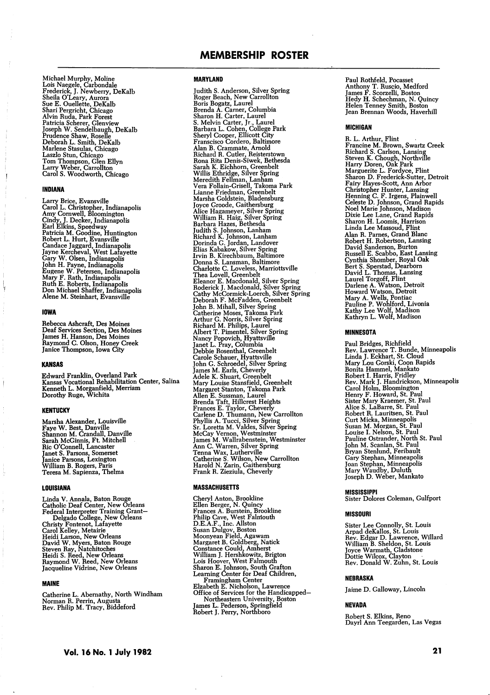Michael Murphy, Moline<br>Lois Naegele, Carbondale<br>Frederick, J. Newberry, DeKalb<br>Sheila O'Leary, Aurora<br>Sue E. Ouellette, DeKalb<br>Shari Pergricht, Chicago<br>Shari Pergricht, Chicago<br>Ashri Rada, Pat Forest<br>Patricia Schere, Clenv

# INDIANA

Larry Brice, Evansville<br>Carol L. Christopher, Indianapolis<br>Amy Cornwell, Bloomington<br>Cindy, J. Decker, Indianapolis<br>Earl Elkins, Speedway<br>Patricia M. Goodine, Huntington<br>Robert L. Hurt, Evansville<br>Candace Jaggard, Indianap

# IOWA

Y

Rebecca Ashcraft, Des Moines Deaf Services Section, Des Moines James H. Hanson, Des Moines Raymond C. Olson, Honey Creek Janice Thompson, Iowa City

# KANSAS

Edward Franklin, Overland Park Kansas Vocational Rehabilitation Center, Salina Kenneth L. Morganfield, Merriam Dorotby Ruge, Wichita

#### **KENTUCKY**

Marsha Alexander, Louisville<br>Faye W. Best, Danville<br>Shannon M. Crandall, Danville<br>Sarah McGinnis, Ft. Mitchell<br>Ric O'Connell, Lancaster<br>Janet S. Parsons, Somerset<br>Janice Parsons, Lexington<br>William B. Rogers, Paris<br>Teresa M

# LOUISIANA

Linda V. Annala, Baton Rouge<br>Catholic Deaf Center, New Orleans<br>Federal Interpreter Training Grant—Delgado College, New Orleans<br>Christy Fontenot, Lafayette<br>Carol Kelley, Metairie<br>Carol Kelley, Metairie<br>Heidi Larson, New Orl

# MAINE

Catherine L. Abernathy, North Windham Norman R. Perrin, Augusta Rev. Philip M. Tracy, Biddeford

Judith S. Anderson, Silver Spring<br>Roger Beach, New Carrollton<br>Boris Beach, New Carrollton<br>Brand A. Canter, Loumbia<br>Sharon H. Carter, Laurel<br>Sharon H. Carter, Laurel<br>Barbara L. Cohen, College Park<br>Sharyl Cooper, Ellicotte G

#### MASSACHUSETTS

Cheryl Anton, Brookline<br>Ellen Berger, N. Quincy<br>Ellen Berger, N. Quincy<br>Prances A. Burstein, Brookline<br>D.E.A.F., Inc. Allston<br>D.E.A.F., Inc. Allston<br>Susan Dulgov, Boston<br>Margaret B. Goldberg, Natick<br>William J. Hershkowitz,

Paul Rothfeld, Pocasset Anthony T. Ruscio, Medford James F. Scorzelli, Boston Hedy H. Schechman, N. Quincy Helen Tenney Smith, Boston Jean Brennan Woods, Haverhill

### MICHIGAN

R. L. Arthur, Flint<br>Francine M. Brown, Swartz Creek<br>Francine M. Brown, Swartz Creek<br>Richard S. Carlson, Lansing<br>Steven K. Chough, Northville<br>Harry Doren, Oak Park<br>Marguerite L. Fordyce, Flint<br>Sharon D. Frederick-Sutter, De Alan R. Parmes, Grand Blanc<br>Robert H. Robertson, Lansing<br>David Sanderson, Burton<br>Rowsli E. Scabbo, East Lansing<br>Cynthia Shomber, Royal Oak<br>Bert S. Sperstad, Dearborn<br>David L. Thomas, Lansing<br>Laurel Torgoff, Flint<br>David L.

### MINNESOTA

Paul Bridges, Kichrield<br>Rev. Lawrence T. Bunde, Minneapolis<br>Linda J. Eckhart, St. Cloud<br>Mary Lou Gorski, Coon Rapids<br>Bonita Hammel, Mankato<br>Robert I. Harris, Fridley<br>Rev. Mark J. Handrickson, Minneapolis<br>Rev. Mark J. Handr

# MISSISSIPPI

Sister Dolores Coleman, Gulfport

## MISSOURI

Sister Lee Connolly, St. Louis<br>
Arpad deKallos, St. Louis<br>
Rev. Edgar D. Lawrence, Willard<br>
William B. Sheldon, St. Louis<br>
Joyce Warmath, Gladstone<br>
Dottie Wilcox, Clayton<br>
Rev. Donald W. Zuhn, St. Louis

# NEBRASKA

Jaime D. Galloway, Lincoln

# NEVADA

Robert S. Elkins, Reno Dayrl Ann Teegarden, Las Vegas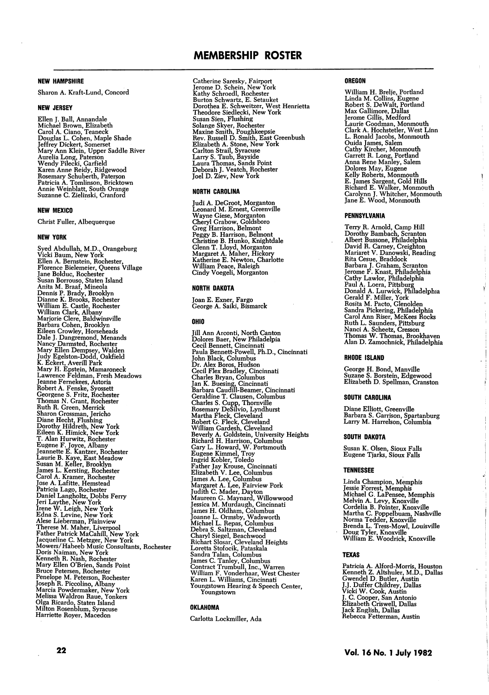# NEW HAMPSHIRE

Sharon A. Kraft-Lund, Concord

# NEW JERSEY

Ellen J. Ball, Annandale<br>Michael Brown, Elizabeth<br>Carol A. Ciano, Teaneck<br>Douglas L. Cohen, Maple Shade<br>Jeffrey Dickert, Somerset<br>Mary Ann Klein, Upper Saddle River<br>Mary Ann Klein, Upper Saddle River<br>Aurelia Long, Paterson

### NEW MEXICO

Christ Fuller, Albequerque

#### NEW YORK

Syed Abdullah, M.D., Orangeburg Vicki Baum, New York Ellen A. Bernstein, Rochester, Florence Bielemeier, Queens Village Jane Bolduc, Rochester<br>Susan Borrouso, Staten Island<br>Susan Borrouso, Staten Island<br>Anita M. Braaf, Mineola<br>Dennis P. Brady, Brooklyn<br>William E. Castle, Rochester<br>William Clark, Albany<br>William Clark, Albany island<br>Barbara C Catherine Saresky, Fairport Jerome D. Schein, New York Kathy Schroedl, Rochester Burton Schwartz, E. Setauket Dorothea E. Schweitzer, West Henrietta Theodore Siedlecki, New York Susan Sien, Piusing<br>Solange Skyer, Rochester<br>Maxine Smith, Poughkeepsie<br>Rev. Russell D. Smith, East Greenbush<br>Elizabeth A. Stone, New York<br>Carlton Strail, Syracuse<br>Laury S. Taub, Bayside<br>Laura Thomas, Sands Point<br>Deborah J

# NORTH CAROLINA

Judi A. DeGroot, Morganton<br>Leonard M. Ernest, Greenville<br>Wayne Giese, Morganton<br>Cheryl Grabow, Goldsboro<br>Greg Harrison, Belmont<br>Peggy B. Harrison, Belmont<br>Peggy B. Harrison, Belmont<br>Clenn T. Lloyd, Morganton<br>Margaret A. Ma

### NORTH DAKOTA

Joan E. Exner, Fargo George A. Saiki, Bismarck

### OHIO

Jill Ann Arconti, North Canton<br>Dolores Baer, New Philadelpia<br>Cecil Bennett, Cincinnati<br>Cecil Bennett, Cincinnati<br>Paula Bennett-Powell, Ph.D., Cincinnati<br>Cecil Piets Bradley, Cincinnati<br>John Black, Columbus<br>Dr. Alex Boros,

### OKLAHOMA

Carlotta Lockmiller, Ada

# OREGON

William H. Brelje, Portland<br>Linda M. Collins, Eugene<br>Robert S. DeWalt, Portland<br>Max Gallimore, Dallas<br>Jerome Gillis, Medford<br>Laurie Goodman, Monmouth<br>L. Ronald Jacobs, Monmouth<br>D. R. Rochsteller, West Linn<br>Carrett R. Long, E. James Sargent, Gold Hills Richard E. Walker, Monmouth Carolynn J. Whitcher, Monmouth Jane E. Wood, Monmouth

ł

# PENNSYLVANIA

Terry R. Arnold, Camp Hill<br>Terry R. Arnold, Camp Hill<br>Dorothy Bambach, Scranton<br>Albert Bussone, Philadelphia<br>David R. Camey, Creighton<br>Mariaret V. Danowski, Reading<br>Brabara J. Graham, Scranton<br>Jerome F. Knast, Philadelphia

### RHODE ISLAND

George H. Bond, Manville Suzane S. Borstein, Edgewood Elizabeth D. Spellman, Cranston

#### SOUTH CAROLINA

Diane Elliott, Greenville Barbara S. Garrison, Spartanburg Larry M. Harrelson, Columbia

### SOUTH DAKOTA

Susan K. Olsen, Sioux Falls Eugene Tjarks, Sioux Falls

# TENNESSEE

Linda Champion, Memphis<br>Jessie Forrest, Memphis<br>Michael G. LaPensee, Memphis<br>Melvin A. Levy, Knoxville<br>Cordelia B. Pointer, Knoxville<br>Martha C. Poppelbuam, Nashville<br>Norma Tedder, Knoxville<br>Norma Tedder, Knoxville<br>Doug Tyl

#### TEXAS

Patricia A. Alford-Morris, Houston<br>Kenneth Z. Altshuler, M.D., Dallas<br>J.J. Duffer Childrey, Dallas<br>J.J. C. Cooper, San Antonio<br>J. C. Cooper, San Antonio<br>Elizabeth Criswell, Dallas<br>Jack English, Dallas Rebecca Fetterman, Austin